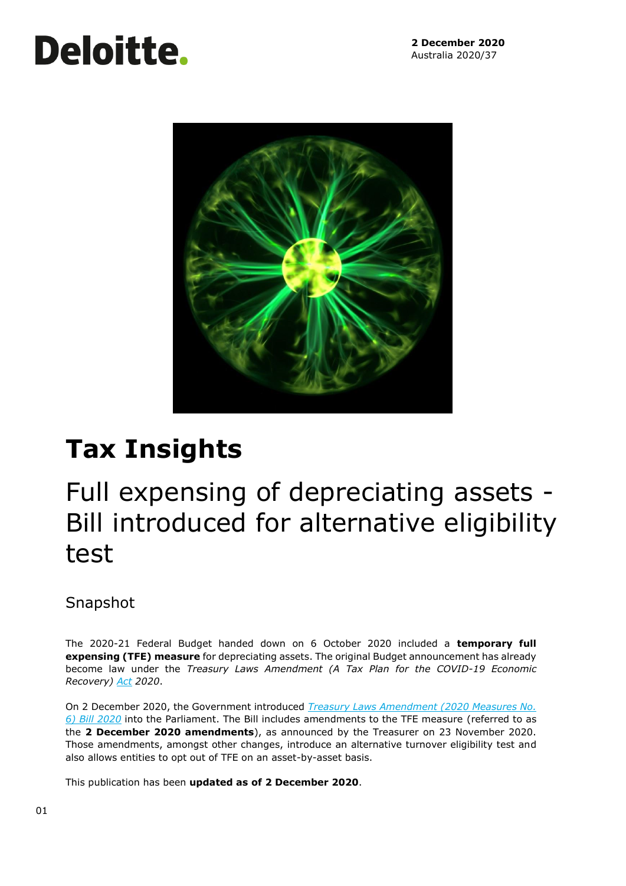# **Deloitte.**



# **Tax Insights**

## Full expensing of depreciating assets - Bill introduced for alternative eligibility test

### Snapshot

The 2020-21 Federal Budget handed down on 6 October 2020 included a **temporary full expensing (TFE) measure** for depreciating assets. The original Budget announcement has already become law under the *Treasury Laws Amendment (A Tax Plan for the COVID-19 Economic Recovery) [Act](https://parlinfo.aph.gov.au/parlInfo/search/display/display.w3p;page=0;query=BillId:r6610%20Recstruct:billhome) 2020*.

On 2 December 2020, the Government introduced *[Treasury Laws Amendment \(2020 Measures No.](https://parlinfo.aph.gov.au/parlInfo/search/display/display.w3p;page=0;query=BillId:r6633%20Recstruct:billhome)  [6\) Bill 2020](https://parlinfo.aph.gov.au/parlInfo/search/display/display.w3p;page=0;query=BillId:r6633%20Recstruct:billhome)* into the Parliament. The Bill includes amendments to the TFE measure (referred to as the **2 December 2020 amendments**), as announced by the Treasurer on 23 November 2020. Those amendments, amongst other changes, introduce an alternative turnover eligibility test and also allows entities to opt out of TFE on an asset-by-asset basis.

This publication has been **updated as of 2 December 2020**.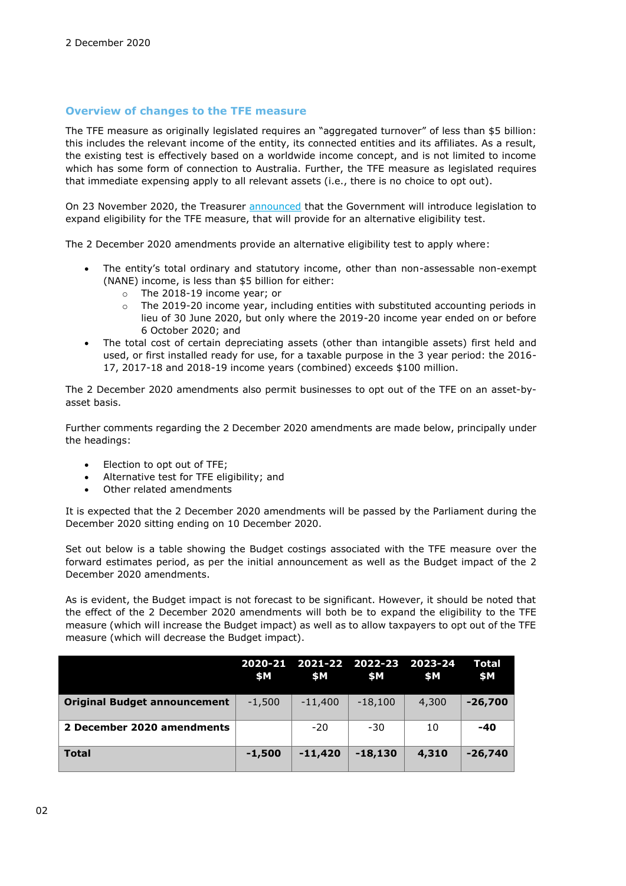#### **Overview of changes to the TFE measure**

The TFE measure as originally legislated requires an "aggregated turnover" of less than \$5 billion: this includes the relevant income of the entity, its connected entities and its affiliates. As a result, the existing test is effectively based on a worldwide income concept, and is not limited to income which has some form of connection to Australia. Further, the TFE measure as legislated requires that immediate expensing apply to all relevant assets (i.e., there is no choice to opt out).

On 23 November 2020, the Treasurer [announced](https://ministers.treasury.gov.au/ministers/josh-frydenberg-2018/media-releases/more-businesses-qualify-full-expensing) that the Government will introduce legislation to expand eligibility for the TFE measure, that will provide for an alternative eligibility test.

The 2 December 2020 amendments provide an alternative eligibility test to apply where:

- The entity's total ordinary and statutory income, other than non-assessable non-exempt (NANE) income, is less than \$5 billion for either:
	- o The 2018-19 income year; or
	- $\circ$  The 2019-20 income year, including entities with substituted accounting periods in lieu of 30 June 2020, but only where the 2019-20 income year ended on or before 6 October 2020; and
- The total cost of certain depreciating assets (other than intangible assets) first held and used, or first installed ready for use, for a taxable purpose in the 3 year period: the 2016- 17, 2017-18 and 2018-19 income years (combined) exceeds \$100 million.

The 2 December 2020 amendments also permit businesses to opt out of the TFE on an asset-byasset basis.

Further comments regarding the 2 December 2020 amendments are made below, principally under the headings:

- Election to opt out of TFE;
- Alternative test for TFE eligibility; and
- Other related amendments

It is expected that the 2 December 2020 amendments will be passed by the Parliament during the December 2020 sitting ending on 10 December 2020.

Set out below is a table showing the Budget costings associated with the TFE measure over the forward estimates period, as per the initial announcement as well as the Budget impact of the 2 December 2020 amendments.

As is evident, the Budget impact is not forecast to be significant. However, it should be noted that the effect of the 2 December 2020 amendments will both be to expand the eligibility to the TFE measure (which will increase the Budget impact) as well as to allow taxpayers to opt out of the TFE measure (which will decrease the Budget impact).

|                                     | \$M      | <b>SM</b> | 2020-21 2021-22 2022-23 2023-24<br>\$M | \$Μ   | Total<br>\$M |
|-------------------------------------|----------|-----------|----------------------------------------|-------|--------------|
| <b>Original Budget announcement</b> | $-1,500$ | $-11,400$ | $-18,100$                              | 4,300 | $-26,700$    |
| 2 December 2020 amendments          |          | $-20$     | $-30$                                  | 10    | $-40$        |
| <b>Total</b>                        | $-1,500$ | $-11,420$ | $-18,130$                              | 4,310 | $-26,740$    |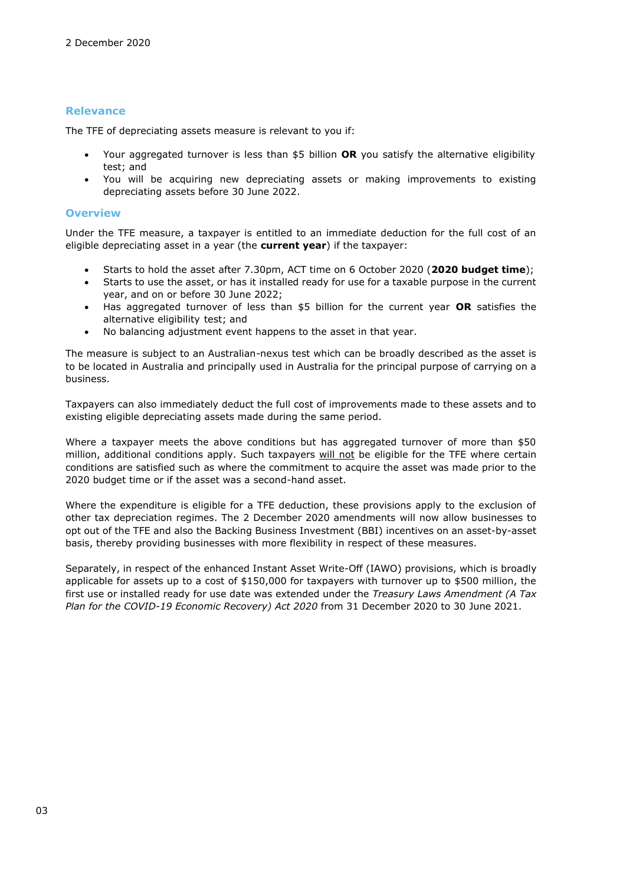#### **Relevance**

The TFE of depreciating assets measure is relevant to you if:

- Your aggregated turnover is less than \$5 billion **OR** you satisfy the alternative eligibility test; and
- You will be acquiring new depreciating assets or making improvements to existing depreciating assets before 30 June 2022.

#### **Overview**

Under the TFE measure, a taxpayer is entitled to an immediate deduction for the full cost of an eligible depreciating asset in a year (the **current year**) if the taxpayer:

- Starts to hold the asset after 7.30pm, ACT time on 6 October 2020 (**2020 budget time**);
- Starts to use the asset, or has it installed ready for use for a taxable purpose in the current year, and on or before 30 June 2022;
- Has aggregated turnover of less than \$5 billion for the current year **OR** satisfies the alternative eligibility test; and
- No balancing adjustment event happens to the asset in that year.

The measure is subject to an Australian-nexus test which can be broadly described as the asset is to be located in Australia and principally used in Australia for the principal purpose of carrying on a business.

Taxpayers can also immediately deduct the full cost of improvements made to these assets and to existing eligible depreciating assets made during the same period.

Where a taxpayer meets the above conditions but has aggregated turnover of more than \$50 million, additional conditions apply. Such taxpayers will not be eligible for the TFE where certain conditions are satisfied such as where the commitment to acquire the asset was made prior to the 2020 budget time or if the asset was a second-hand asset.

Where the expenditure is eligible for a TFE deduction, these provisions apply to the exclusion of other tax depreciation regimes. The 2 December 2020 amendments will now allow businesses to opt out of the TFE and also the Backing Business Investment (BBI) incentives on an asset-by-asset basis, thereby providing businesses with more flexibility in respect of these measures.

Separately, in respect of the enhanced Instant Asset Write-Off (IAWO) provisions, which is broadly applicable for assets up to a cost of \$150,000 for taxpayers with turnover up to \$500 million, the first use or installed ready for use date was extended under the *Treasury Laws Amendment (A Tax Plan for the COVID-19 Economic Recovery) Act 2020* from 31 December 2020 to 30 June 2021.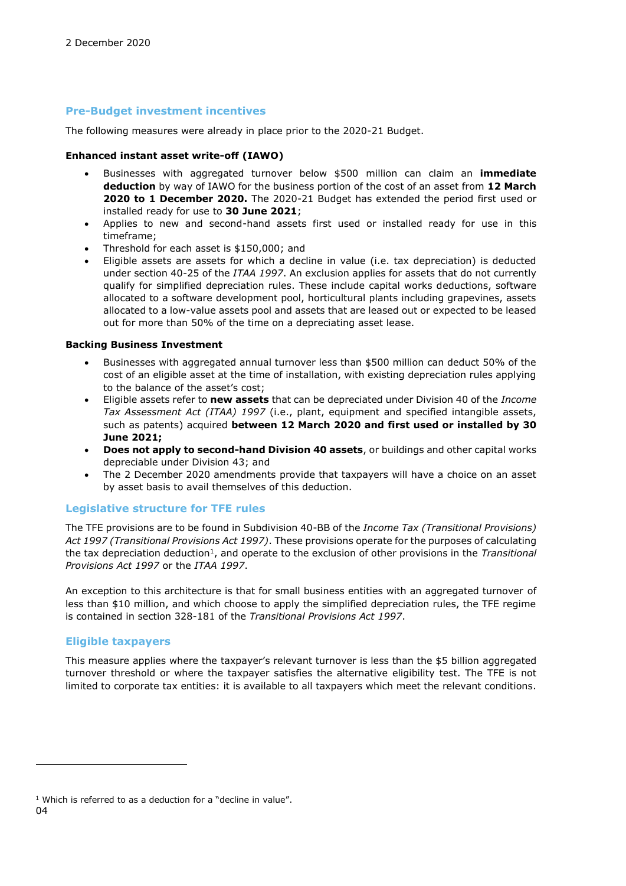#### **Pre-Budget investment incentives**

The following measures were already in place prior to the 2020-21 Budget.

#### **Enhanced instant asset write-off (IAWO)**

- Businesses with aggregated turnover below \$500 million can claim an **immediate deduction** by way of IAWO for the business portion of the cost of an asset from **12 March 2020 to 1 December 2020.** The 2020-21 Budget has extended the period first used or installed ready for use to **30 June 2021**;
- Applies to new and second-hand assets first used or installed ready for use in this timeframe;
- Threshold for each asset is \$150,000; and
- Eligible assets are assets for which a decline in value (i.e. tax depreciation) is deducted under section 40-25 of the *ITAA 1997*. An exclusion applies for assets that do not currently qualify for simplified depreciation rules. These include capital works deductions, software allocated to a software development pool, horticultural plants including grapevines, assets allocated to a low-value assets pool and assets that are leased out or expected to be leased out for more than 50% of the time on a depreciating asset lease.

#### **Backing Business Investment**

- Businesses with aggregated annual turnover less than \$500 million can deduct 50% of the cost of an eligible asset at the time of installation, with existing depreciation rules applying to the balance of the asset's cost;
- Eligible assets refer to **new assets** that can be depreciated under Division 40 of the *Income Tax Assessment Act (ITAA) 1997* (i.e., plant, equipment and specified intangible assets, such as patents) acquired **between 12 March 2020 and first used or installed by 30 June 2021;**
- **Does not apply to second-hand Division 40 assets**, or buildings and other capital works depreciable under Division 43; and
- The 2 December 2020 amendments provide that taxpayers will have a choice on an asset by asset basis to avail themselves of this deduction.

#### **Legislative structure for TFE rules**

The TFE provisions are to be found in Subdivision 40-BB of the *Income Tax (Transitional Provisions) Act 1997 (Transitional Provisions Act 1997)*. These provisions operate for the purposes of calculating the tax depreciation deduction<sup>1</sup>, and operate to the exclusion of other provisions in the *Transitional Provisions Act 1997* or the *ITAA 1997*.

An exception to this architecture is that for small business entities with an aggregated turnover of less than \$10 million, and which choose to apply the simplified depreciation rules, the TFE regime is contained in section 328-181 of the *Transitional Provisions Act 1997*.

#### **Eligible taxpayers**

This measure applies where the taxpayer's relevant turnover is less than the \$5 billion aggregated turnover threshold or where the taxpayer satisfies the alternative eligibility test. The TFE is not limited to corporate tax entities: it is available to all taxpayers which meet the relevant conditions.

<sup>04</sup>  $1$  Which is referred to as a deduction for a "decline in value".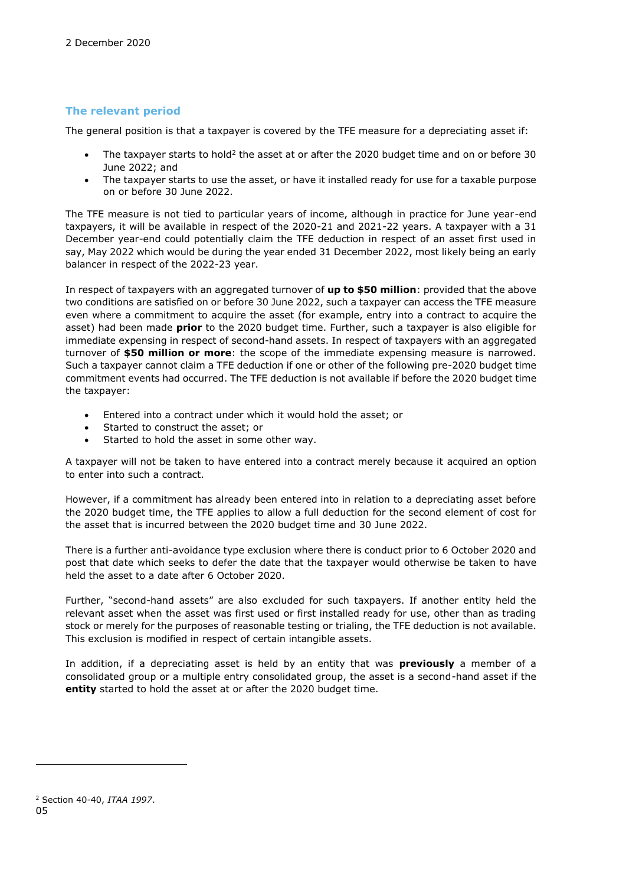#### **The relevant period**

The general position is that a taxpayer is covered by the TFE measure for a depreciating asset if:

- The taxpayer starts to hold<sup>2</sup> the asset at or after the 2020 budget time and on or before 30 June 2022; and
- The taxpayer starts to use the asset, or have it installed ready for use for a taxable purpose on or before 30 June 2022.

The TFE measure is not tied to particular years of income, although in practice for June year-end taxpayers, it will be available in respect of the 2020-21 and 2021-22 years. A taxpayer with a 31 December year-end could potentially claim the TFE deduction in respect of an asset first used in say, May 2022 which would be during the year ended 31 December 2022, most likely being an early balancer in respect of the 2022-23 year.

In respect of taxpayers with an aggregated turnover of **up to \$50 million**: provided that the above two conditions are satisfied on or before 30 June 2022, such a taxpayer can access the TFE measure even where a commitment to acquire the asset (for example, entry into a contract to acquire the asset) had been made **prior** to the 2020 budget time. Further, such a taxpayer is also eligible for immediate expensing in respect of second-hand assets. In respect of taxpayers with an aggregated turnover of **\$50 million or more**: the scope of the immediate expensing measure is narrowed. Such a taxpayer cannot claim a TFE deduction if one or other of the following pre-2020 budget time commitment events had occurred. The TFE deduction is not available if before the 2020 budget time the taxpayer:

- Entered into a contract under which it would hold the asset; or
- Started to construct the asset; or
- Started to hold the asset in some other way.

A taxpayer will not be taken to have entered into a contract merely because it acquired an option to enter into such a contract.

However, if a commitment has already been entered into in relation to a depreciating asset before the 2020 budget time, the TFE applies to allow a full deduction for the second element of cost for the asset that is incurred between the 2020 budget time and 30 June 2022.

There is a further anti-avoidance type exclusion where there is conduct prior to 6 October 2020 and post that date which seeks to defer the date that the taxpayer would otherwise be taken to have held the asset to a date after 6 October 2020.

Further, "second-hand assets" are also excluded for such taxpayers. If another entity held the relevant asset when the asset was first used or first installed ready for use, other than as trading stock or merely for the purposes of reasonable testing or trialing, the TFE deduction is not available. This exclusion is modified in respect of certain intangible assets.

In addition, if a depreciating asset is held by an entity that was **previously** a member of a consolidated group or a multiple entry consolidated group, the asset is a second-hand asset if the **entity** started to hold the asset at or after the 2020 budget time.

<sup>05</sup> <sup>2</sup> Section 40-40, *ITAA 1997*.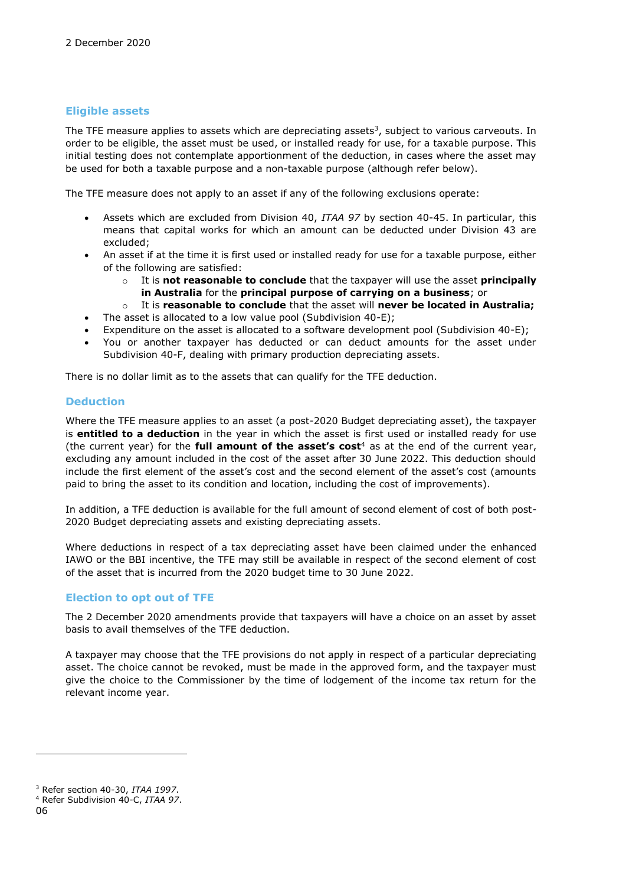#### **Eligible assets**

The TFE measure applies to assets which are depreciating assets<sup>3</sup>, subject to various carveouts. In order to be eligible, the asset must be used, or installed ready for use, for a taxable purpose. This initial testing does not contemplate apportionment of the deduction, in cases where the asset may be used for both a taxable purpose and a non-taxable purpose (although refer below).

The TFE measure does not apply to an asset if any of the following exclusions operate:

- Assets which are excluded from Division 40, *ITAA 97* by section 40-45. In particular, this means that capital works for which an amount can be deducted under Division 43 are excluded;
- An asset if at the time it is first used or installed ready for use for a taxable purpose, either of the following are satisfied:
	- o It is **not reasonable to conclude** that the taxpayer will use the asset **principally in Australia** for the **principal purpose of carrying on a business**; or
	- o It is **reasonable to conclude** that the asset will **never be located in Australia;**
- The asset is allocated to a low value pool (Subdivision 40-E);
- Expenditure on the asset is allocated to a software development pool (Subdivision 40-E);
- You or another taxpayer has deducted or can deduct amounts for the asset under Subdivision 40-F, dealing with primary production depreciating assets.

There is no dollar limit as to the assets that can qualify for the TFE deduction.

#### **Deduction**

Where the TFE measure applies to an asset (a post-2020 Budget depreciating asset), the taxpayer is **entitled to a deduction** in the year in which the asset is first used or installed ready for use (the current year) for the **full amount of the asset's cost**<sup>4</sup> as at the end of the current year, excluding any amount included in the cost of the asset after 30 June 2022. This deduction should include the first element of the asset's cost and the second element of the asset's cost (amounts paid to bring the asset to its condition and location, including the cost of improvements).

In addition, a TFE deduction is available for the full amount of second element of cost of both post-2020 Budget depreciating assets and existing depreciating assets.

Where deductions in respect of a tax depreciating asset have been claimed under the enhanced IAWO or the BBI incentive, the TFE may still be available in respect of the second element of cost of the asset that is incurred from the 2020 budget time to 30 June 2022.

#### **Election to opt out of TFE**

The 2 December 2020 amendments provide that taxpayers will have a choice on an asset by asset basis to avail themselves of the TFE deduction.

A taxpayer may choose that the TFE provisions do not apply in respect of a particular depreciating asset. The choice cannot be revoked, must be made in the approved form, and the taxpayer must give the choice to the Commissioner by the time of lodgement of the income tax return for the relevant income year.

<sup>3</sup> Refer section 40-30, *ITAA 1997*.

<sup>4</sup> Refer Subdivision 40-C, *ITAA 97*.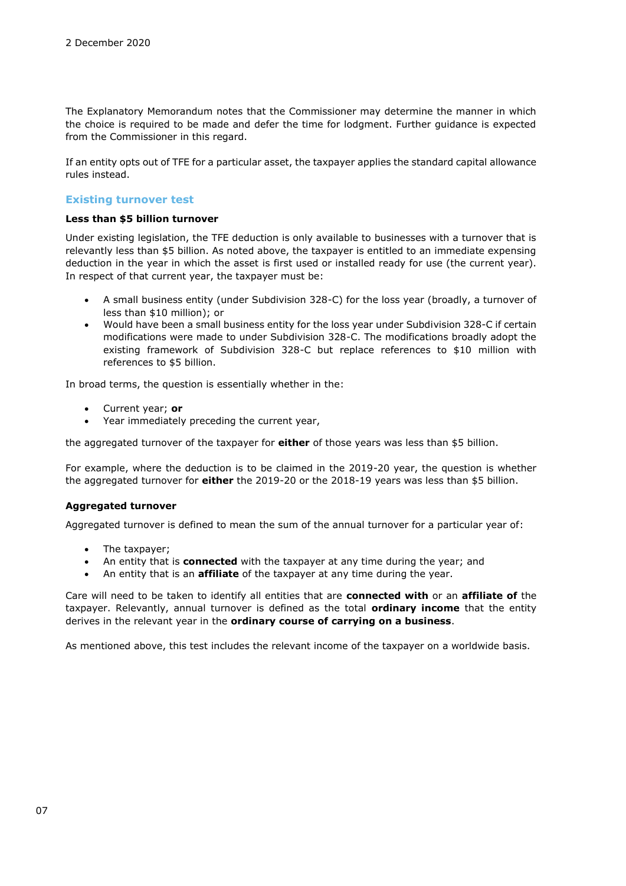The Explanatory Memorandum notes that the Commissioner may determine the manner in which the choice is required to be made and defer the time for lodgment. Further guidance is expected from the Commissioner in this regard.

If an entity opts out of TFE for a particular asset, the taxpayer applies the standard capital allowance rules instead.

#### **Existing turnover test**

#### **Less than \$5 billion turnover**

Under existing legislation, the TFE deduction is only available to businesses with a turnover that is relevantly less than \$5 billion. As noted above, the taxpayer is entitled to an immediate expensing deduction in the year in which the asset is first used or installed ready for use (the current year). In respect of that current year, the taxpayer must be:

- A small business entity (under Subdivision 328-C) for the loss year (broadly, a turnover of less than \$10 million); or
- Would have been a small business entity for the loss year under Subdivision 328-C if certain modifications were made to under Subdivision 328-C. The modifications broadly adopt the existing framework of Subdivision 328-C but replace references to \$10 million with references to \$5 billion.

In broad terms, the question is essentially whether in the:

- Current year; **or**
- Year immediately preceding the current year,

the aggregated turnover of the taxpayer for **either** of those years was less than \$5 billion.

For example, where the deduction is to be claimed in the 2019-20 year, the question is whether the aggregated turnover for **either** the 2019-20 or the 2018-19 years was less than \$5 billion.

#### **Aggregated turnover**

Aggregated turnover is defined to mean the sum of the annual turnover for a particular year of:

- The taxpayer;
- An entity that is **connected** with the taxpayer at any time during the year; and
- An entity that is an **affiliate** of the taxpayer at any time during the year.

Care will need to be taken to identify all entities that are **connected with** or an **affiliate of** the taxpayer. Relevantly, annual turnover is defined as the total **ordinary income** that the entity derives in the relevant year in the **ordinary course of carrying on a business**.

As mentioned above, this test includes the relevant income of the taxpayer on a worldwide basis.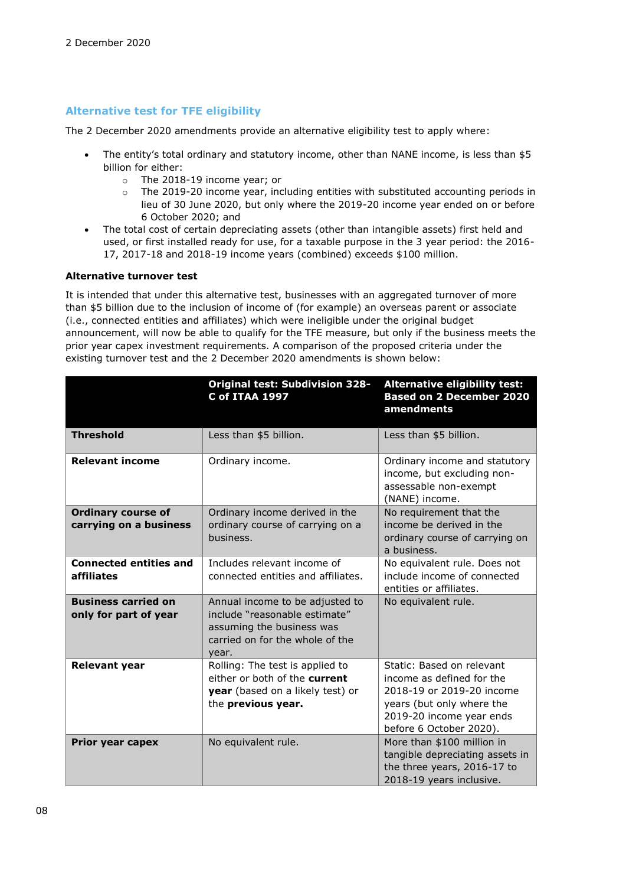#### **Alternative test for TFE eligibility**

The 2 December 2020 amendments provide an alternative eligibility test to apply where:

- The entity's total ordinary and statutory income, other than NANE income, is less than \$5 billion for either:
	- o The 2018-19 income year; or
	- $\circ$  The 2019-20 income year, including entities with substituted accounting periods in lieu of 30 June 2020, but only where the 2019-20 income year ended on or before 6 October 2020; and
- The total cost of certain depreciating assets (other than intangible assets) first held and used, or first installed ready for use, for a taxable purpose in the 3 year period: the 2016- 17, 2017-18 and 2018-19 income years (combined) exceeds \$100 million.

#### **Alternative turnover test**

It is intended that under this alternative test, businesses with an aggregated turnover of more than \$5 billion due to the inclusion of income of (for example) an overseas parent or associate (i.e., connected entities and affiliates) which were ineligible under the original budget announcement, will now be able to qualify for the TFE measure, but only if the business meets the prior year capex investment requirements. A comparison of the proposed criteria under the existing turnover test and the 2 December 2020 amendments is shown below:

|                                                     | <b>Original test: Subdivision 328-</b><br><b>C of ITAA 1997</b>                                                                           | <b>Alternative eligibility test:</b><br><b>Based on 2 December 2020</b><br>amendments                                                                                   |
|-----------------------------------------------------|-------------------------------------------------------------------------------------------------------------------------------------------|-------------------------------------------------------------------------------------------------------------------------------------------------------------------------|
| <b>Threshold</b>                                    | Less than \$5 billion.                                                                                                                    | Less than \$5 billion.                                                                                                                                                  |
| <b>Relevant income</b>                              | Ordinary income.                                                                                                                          | Ordinary income and statutory<br>income, but excluding non-<br>assessable non-exempt<br>(NANE) income.                                                                  |
| <b>Ordinary course of</b><br>carrying on a business | Ordinary income derived in the<br>ordinary course of carrying on a<br>business.                                                           | No requirement that the<br>income be derived in the<br>ordinary course of carrying on<br>a business.                                                                    |
| <b>Connected entities and</b><br>affiliates         | Includes relevant income of<br>connected entities and affiliates.                                                                         | No equivalent rule. Does not<br>include income of connected<br>entities or affiliates.                                                                                  |
| <b>Business carried on</b><br>only for part of year | Annual income to be adjusted to<br>include "reasonable estimate"<br>assuming the business was<br>carried on for the whole of the<br>year. | No equivalent rule.                                                                                                                                                     |
| <b>Relevant year</b>                                | Rolling: The test is applied to<br>either or both of the current<br>year (based on a likely test) or<br>the previous year.                | Static: Based on relevant<br>income as defined for the<br>2018-19 or 2019-20 income<br>years (but only where the<br>2019-20 income year ends<br>before 6 October 2020). |
| Prior year capex                                    | No equivalent rule.                                                                                                                       | More than \$100 million in<br>tangible depreciating assets in<br>the three years, 2016-17 to<br>2018-19 years inclusive.                                                |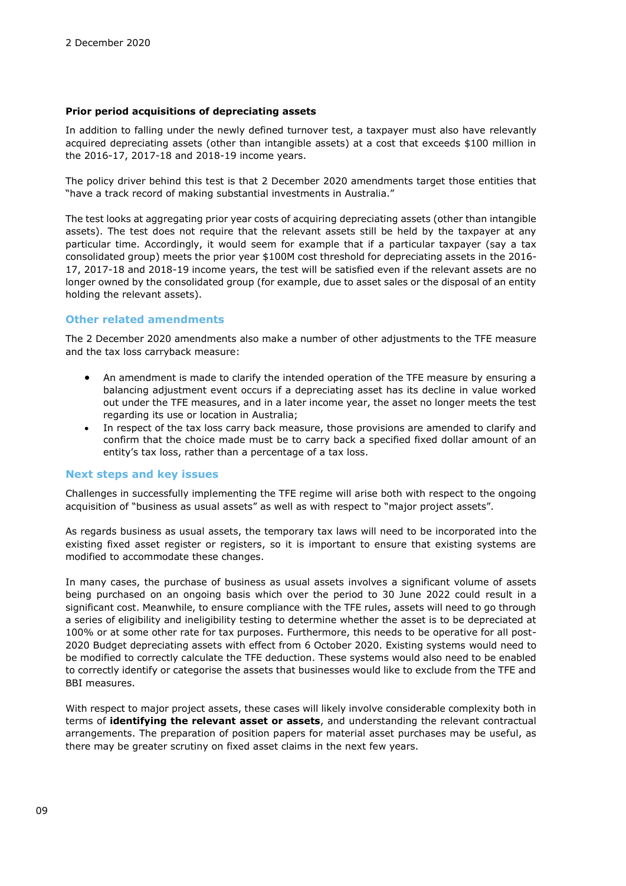#### **Prior period acquisitions of depreciating assets**

In addition to falling under the newly defined turnover test, a taxpayer must also have relevantly acquired depreciating assets (other than intangible assets) at a cost that exceeds \$100 million in the 2016-17, 2017-18 and 2018-19 income years.

The policy driver behind this test is that 2 December 2020 amendments target those entities that "have a track record of making substantial investments in Australia."

The test looks at aggregating prior year costs of acquiring depreciating assets (other than intangible assets). The test does not require that the relevant assets still be held by the taxpayer at any particular time. Accordingly, it would seem for example that if a particular taxpayer (say a tax consolidated group) meets the prior year \$100M cost threshold for depreciating assets in the 2016- 17, 2017-18 and 2018-19 income years, the test will be satisfied even if the relevant assets are no longer owned by the consolidated group (for example, due to asset sales or the disposal of an entity holding the relevant assets).

#### **Other related amendments**

The 2 December 2020 amendments also make a number of other adjustments to the TFE measure and the tax loss carryback measure:

- An amendment is made to clarify the intended operation of the TFE measure by ensuring a balancing adjustment event occurs if a depreciating asset has its decline in value worked out under the TFE measures, and in a later income year, the asset no longer meets the test regarding its use or location in Australia;
- In respect of the tax loss carry back measure, those provisions are amended to clarify and confirm that the choice made must be to carry back a specified fixed dollar amount of an entity's tax loss, rather than a percentage of a tax loss.

#### **Next steps and key issues**

Challenges in successfully implementing the TFE regime will arise both with respect to the ongoing acquisition of "business as usual assets" as well as with respect to "major project assets".

As regards business as usual assets, the temporary tax laws will need to be incorporated into the existing fixed asset register or registers, so it is important to ensure that existing systems are modified to accommodate these changes.

In many cases, the purchase of business as usual assets involves a significant volume of assets being purchased on an ongoing basis which over the period to 30 June 2022 could result in a significant cost. Meanwhile, to ensure compliance with the TFE rules, assets will need to go through a series of eligibility and ineligibility testing to determine whether the asset is to be depreciated at 100% or at some other rate for tax purposes. Furthermore, this needs to be operative for all post-2020 Budget depreciating assets with effect from 6 October 2020. Existing systems would need to be modified to correctly calculate the TFE deduction. These systems would also need to be enabled to correctly identify or categorise the assets that businesses would like to exclude from the TFE and BBI measures.

With respect to major project assets, these cases will likely involve considerable complexity both in terms of **identifying the relevant asset or assets**, and understanding the relevant contractual arrangements. The preparation of position papers for material asset purchases may be useful, as there may be greater scrutiny on fixed asset claims in the next few years.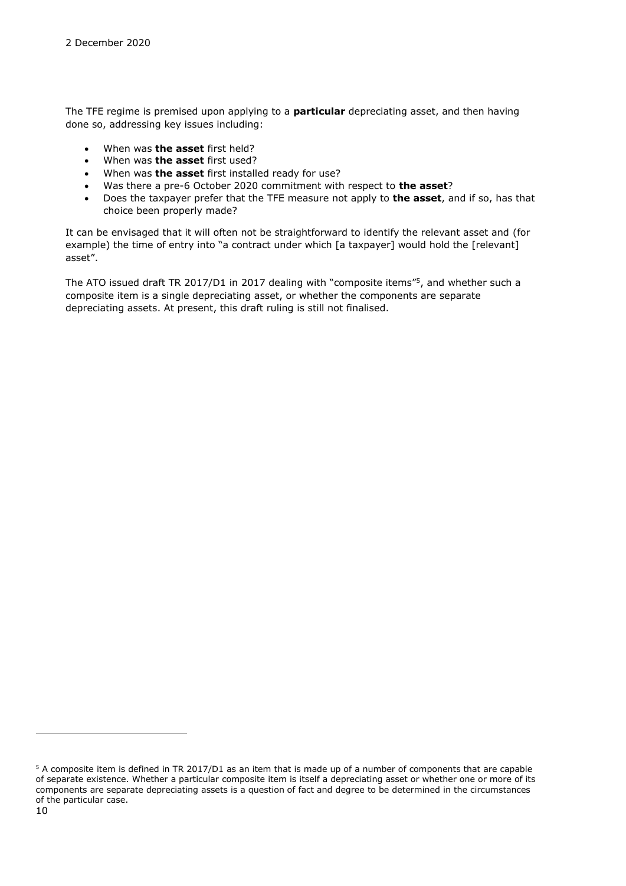The TFE regime is premised upon applying to a **particular** depreciating asset, and then having done so, addressing key issues including:

- When was **the asset** first held?
- When was **the asset** first used?
- When was **the asset** first installed ready for use?
- Was there a pre-6 October 2020 commitment with respect to **the asset**?
- Does the taxpayer prefer that the TFE measure not apply to **the asset**, and if so, has that choice been properly made?

It can be envisaged that it will often not be straightforward to identify the relevant asset and (for example) the time of entry into "a contract under which [a taxpayer] would hold the [relevant] asset".

The ATO issued draft TR 2017/D1 in 2017 dealing with "composite items"<sup>5</sup> , and whether such a composite item is a single depreciating asset, or whether the components are separate depreciating assets. At present, this draft ruling is still not finalised.

<sup>5</sup> A composite item is defined in TR 2017/D1 as an item that is made up of a number of components that are capable of separate existence. Whether a particular composite item is itself a depreciating asset or whether one or more of its components are separate depreciating assets is a question of fact and degree to be determined in the circumstances of the particular case.